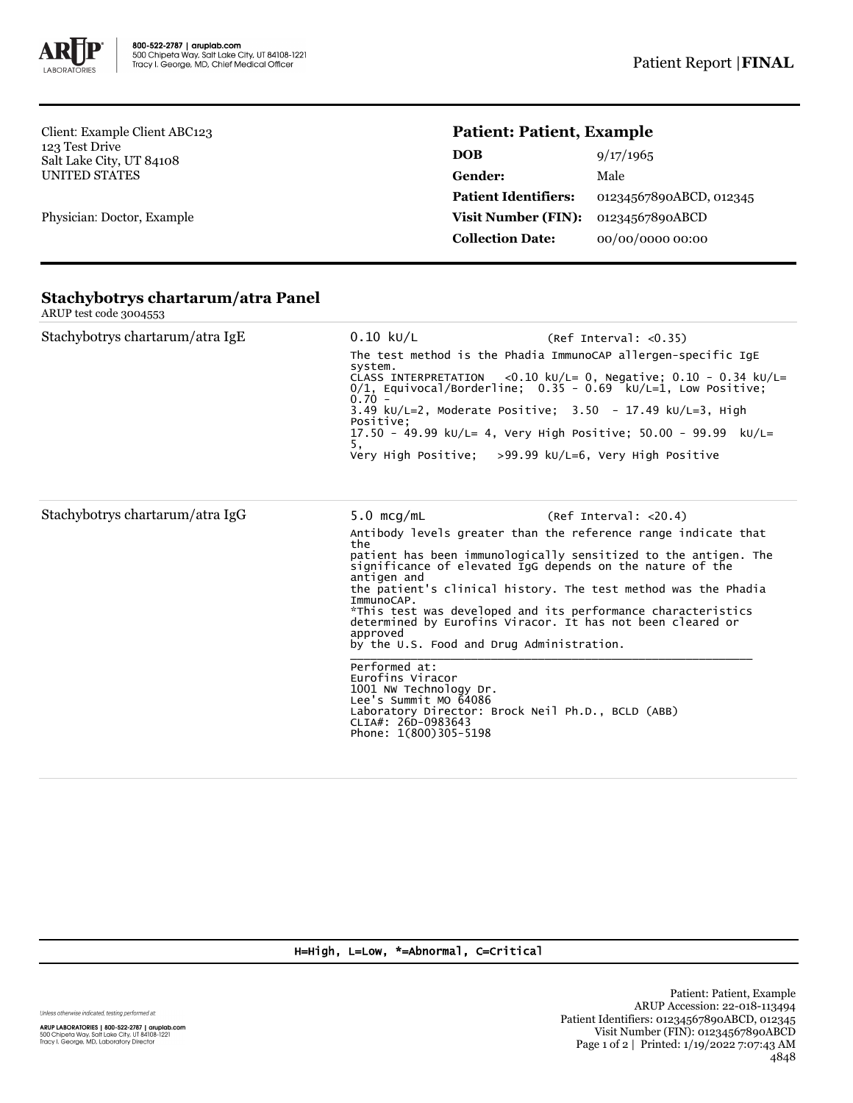

Client: Example Client ABC123 123 Test Drive Salt Lake City, UT 84108 UNITED STATES

Physician: Doctor, Example

## **Patient: Patient, Example**

| 9/17/1965               |
|-------------------------|
| Male                    |
| 01234567890ABCD, 012345 |
| 01234567890ABCD         |
| 00/00/0000 00:00        |
|                         |

| Stachybotrys chartarum/atra IgE | $0.10$ kU/L<br>system.<br>$0.70 -$<br>Positive:<br>5,                                                                                                                                                  | (Ref Interval: <0.35)<br>The test method is the Phadia ImmunoCAP allergen-specific IqE<br>CLASS INTERPRETATION <0.10 kU/L= 0, Negative; $0.10 - 0.34$ kU/L=<br>$0/1$ , Equivocal/Borderline: $0.35 - 0.69$ kU/L=1, Low Positive:<br>3.49 kU/L=2, Moderate Positive; $3.50 - 17.49$ kU/L=3, High<br>17.50 - 49.99 ku/L= 4, Very High Positive; 50.00 - 99.99 ku/L=<br>Very High Positive: $>99.99$ kU/L=6, Very High Positive                                                                                               |
|---------------------------------|--------------------------------------------------------------------------------------------------------------------------------------------------------------------------------------------------------|----------------------------------------------------------------------------------------------------------------------------------------------------------------------------------------------------------------------------------------------------------------------------------------------------------------------------------------------------------------------------------------------------------------------------------------------------------------------------------------------------------------------------|
| Stachybotrys chartarum/atra IgG | $5.0 \,$ mcg/mL<br>the<br>antigen and<br>ImmunoCAP.<br>approved<br>Performed at:<br>Eurofins Viracor<br>1001 NW Technology Dr.<br>Lee's Summit MO 64086<br>CLIA#: 26D-0983643<br>Phone: 1(800)305-5198 | (Ref Interval: < 20.4)<br>Antibody levels greater than the reference range indicate that<br>patient has been immunologically sensitized to the antigen. The<br>significance of elevated IgG depends on the nature of the<br>the patient's clinical history. The test method was the Phadia<br>*This test was developed and its performance characteristics<br>determined by Eurofins Viracor. It has not been cleared or<br>by the U.S. Food and Drug Administration.<br>Laboratory Director: Brock Neil Ph.D., BCLD (ABB) |

## **Stachybotrys chartarum/atra Panel** ARUP test code 3004553

H=High, L=Low, \*=Abnormal, C=Critical

Unless otherwise indicated, testing performed at:

**ARUP LABORATORIES | 800-522-2787 | aruplab.com**<br>500 Chipeta Way, Salt Lake City, UT 84108-1221<br>Tracy I. George, MD, Laboratory Director